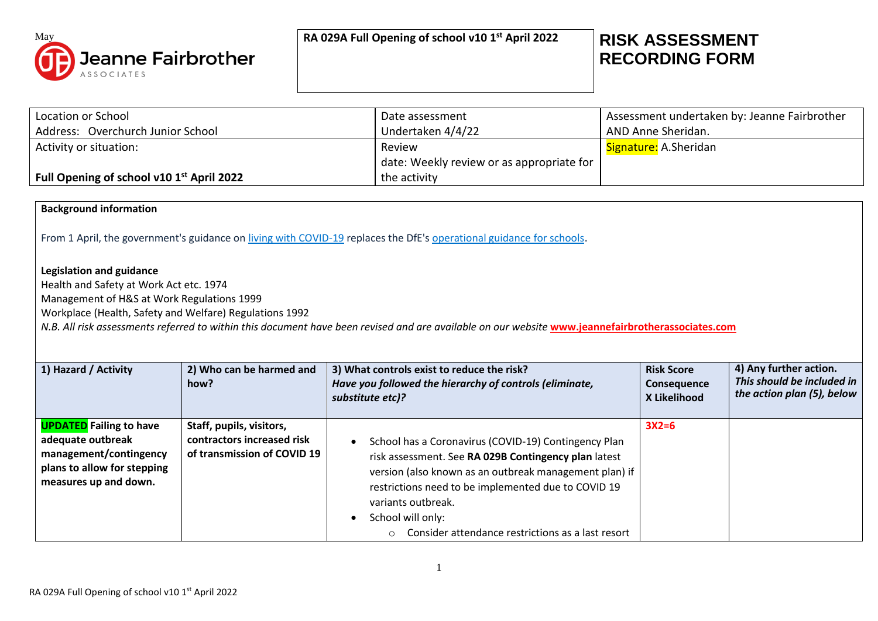

## **RECORDING FORM**

| Location or School                                    | Date assessment                           | Assessment undertaken by: Jeanne Fairbrother |
|-------------------------------------------------------|-------------------------------------------|----------------------------------------------|
| Address: Overchurch Junior School                     | Undertaken 4/4/22                         | AND Anne Sheridan.                           |
| Activity or situation:                                | Review                                    | Signature: A.Sheridan                        |
|                                                       | date: Weekly review or as appropriate for |                                              |
| Full Opening of school v10 1 <sup>st</sup> April 2022 | the activity                              |                                              |

## **Background information**

From 1 April, the government's guidance on [living with COVID-19](https://www.gov.uk/government/publications/covid-19-response-living-with-covid-19) replaces the DfE's [operational guidance for schools](https://www.gov.uk/government/publications/actions-for-schools-during-the-coronavirus-outbreak).

## **Legislation and guidance**

Health and Safety at Work Act etc. 1974 Management of H&S at Work Regulations 1999 Workplace (Health, Safety and Welfare) Regulations 1992 *N.B. All risk assessments referred to within this document have been revised and are available on our website* **[www.jeannefairbrotherassociates.com](http://www.jeannefairbrotherassociates.com/)**

| 1) Hazard / Activity                                                                                                                  | 2) Who can be harmed and<br>how?                                                      | 3) What controls exist to reduce the risk?<br>Have you followed the hierarchy of controls (eliminate,<br>substitute etc)?                                                                                                                                                                                                     | <b>Risk Score</b><br>Consequence<br>X Likelihood | 4) Any further action.<br>This should be included in<br>the action plan (5), below |
|---------------------------------------------------------------------------------------------------------------------------------------|---------------------------------------------------------------------------------------|-------------------------------------------------------------------------------------------------------------------------------------------------------------------------------------------------------------------------------------------------------------------------------------------------------------------------------|--------------------------------------------------|------------------------------------------------------------------------------------|
| <b>UPDATED</b> Failing to have<br>adequate outbreak<br>management/contingency<br>plans to allow for stepping<br>measures up and down. | Staff, pupils, visitors,<br>contractors increased risk<br>of transmission of COVID 19 | School has a Coronavirus (COVID-19) Contingency Plan<br>risk assessment. See RA 029B Contingency plan latest<br>version (also known as an outbreak management plan) if<br>restrictions need to be implemented due to COVID 19<br>variants outbreak.<br>School will only:<br>Consider attendance restrictions as a last resort | $3X2=6$                                          |                                                                                    |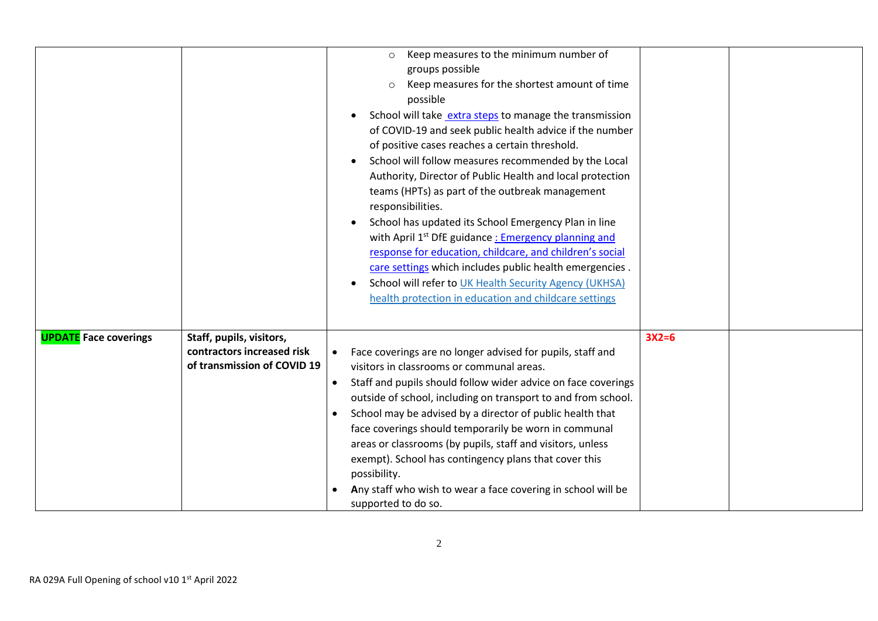|                              |                                                                                       | Keep measures to the minimum number of<br>$\circ$<br>groups possible<br>Keep measures for the shortest amount of time<br>possible<br>School will take extra steps to manage the transmission<br>of COVID-19 and seek public health advice if the number<br>of positive cases reaches a certain threshold.<br>School will follow measures recommended by the Local<br>Authority, Director of Public Health and local protection<br>teams (HPTs) as part of the outbreak management<br>responsibilities.<br>School has updated its School Emergency Plan in line<br>$\bullet$<br>with April 1 <sup>st</sup> DfE guidance: Emergency planning and<br>response for education, childcare, and children's social<br>care settings which includes public health emergencies.<br>School will refer to UK Health Security Agency (UKHSA)<br>health protection in education and childcare settings |         |
|------------------------------|---------------------------------------------------------------------------------------|------------------------------------------------------------------------------------------------------------------------------------------------------------------------------------------------------------------------------------------------------------------------------------------------------------------------------------------------------------------------------------------------------------------------------------------------------------------------------------------------------------------------------------------------------------------------------------------------------------------------------------------------------------------------------------------------------------------------------------------------------------------------------------------------------------------------------------------------------------------------------------------|---------|
| <b>UPDATE</b> Face coverings | Staff, pupils, visitors,<br>contractors increased risk<br>of transmission of COVID 19 | Face coverings are no longer advised for pupils, staff and<br>visitors in classrooms or communal areas.<br>Staff and pupils should follow wider advice on face coverings<br>outside of school, including on transport to and from school.<br>School may be advised by a director of public health that<br>face coverings should temporarily be worn in communal<br>areas or classrooms (by pupils, staff and visitors, unless<br>exempt). School has contingency plans that cover this<br>possibility.<br>Any staff who wish to wear a face covering in school will be<br>supported to do so.                                                                                                                                                                                                                                                                                            | $3X2=6$ |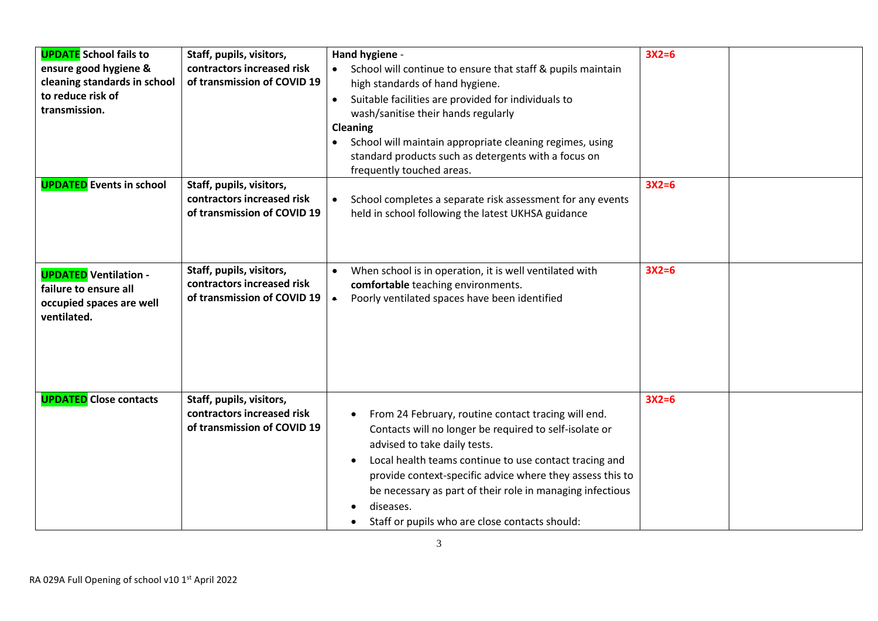| <b>UPDATE</b> School fails to<br>ensure good hygiene &<br>cleaning standards in school<br>to reduce risk of<br>transmission. | Staff, pupils, visitors,<br>contractors increased risk<br>of transmission of COVID 19 | Hand hygiene -<br>School will continue to ensure that staff & pupils maintain<br>high standards of hand hygiene.<br>Suitable facilities are provided for individuals to<br>$\bullet$<br>wash/sanitise their hands regularly<br>Cleaning<br>School will maintain appropriate cleaning regimes, using<br>standard products such as detergents with a focus on<br>frequently touched areas.         | $3X2=6$ |  |
|------------------------------------------------------------------------------------------------------------------------------|---------------------------------------------------------------------------------------|--------------------------------------------------------------------------------------------------------------------------------------------------------------------------------------------------------------------------------------------------------------------------------------------------------------------------------------------------------------------------------------------------|---------|--|
| <b>UPDATED</b> Events in school                                                                                              | Staff, pupils, visitors,<br>contractors increased risk<br>of transmission of COVID 19 | School completes a separate risk assessment for any events<br>held in school following the latest UKHSA guidance                                                                                                                                                                                                                                                                                 | $3X2=6$ |  |
| <b>UPDATED Ventilation -</b><br>failure to ensure all<br>occupied spaces are well<br>ventilated.                             | Staff, pupils, visitors,<br>contractors increased risk<br>of transmission of COVID 19 | When school is in operation, it is well ventilated with<br>comfortable teaching environments.<br>Poorly ventilated spaces have been identified<br>$\bullet$                                                                                                                                                                                                                                      | $3X2=6$ |  |
| <b>UPDATED Close contacts</b>                                                                                                | Staff, pupils, visitors,<br>contractors increased risk<br>of transmission of COVID 19 | From 24 February, routine contact tracing will end.<br>Contacts will no longer be required to self-isolate or<br>advised to take daily tests.<br>Local health teams continue to use contact tracing and<br>provide context-specific advice where they assess this to<br>be necessary as part of their role in managing infectious<br>diseases.<br>Staff or pupils who are close contacts should: | $3X2=6$ |  |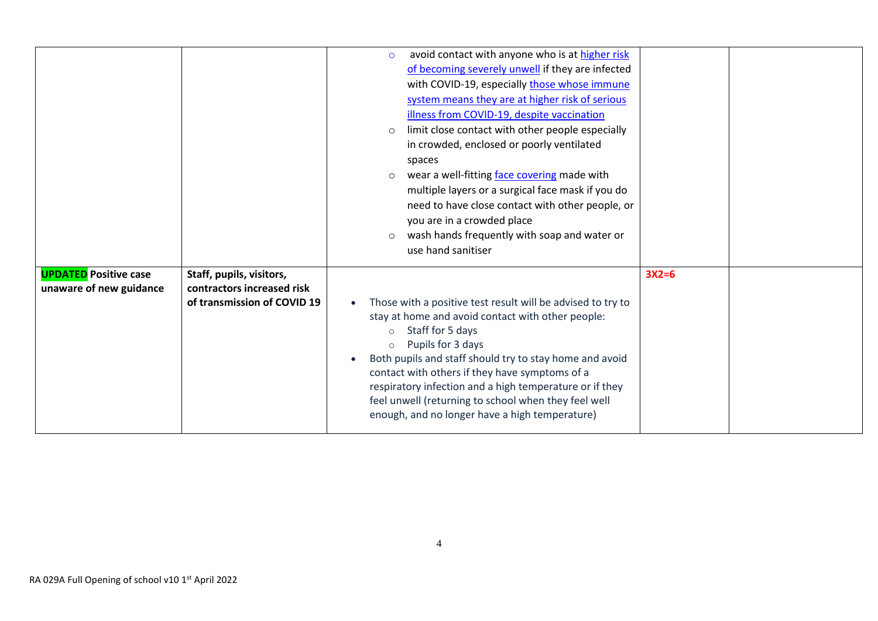|                                                         |                                                                                       | avoid contact with anyone who is at higher risk<br>$\circ$<br>of becoming severely unwell if they are infected<br>with COVID-19, especially those whose immune<br>system means they are at higher risk of serious<br>illness from COVID-19, despite vaccination<br>limit close contact with other people especially<br>$\circ$<br>in crowded, enclosed or poorly ventilated<br>spaces<br>wear a well-fitting face covering made with<br>$\circ$<br>multiple layers or a surgical face mask if you do<br>need to have close contact with other people, or<br>you are in a crowded place<br>wash hands frequently with soap and water or<br>$\circ$<br>use hand sanitiser |         |  |
|---------------------------------------------------------|---------------------------------------------------------------------------------------|-------------------------------------------------------------------------------------------------------------------------------------------------------------------------------------------------------------------------------------------------------------------------------------------------------------------------------------------------------------------------------------------------------------------------------------------------------------------------------------------------------------------------------------------------------------------------------------------------------------------------------------------------------------------------|---------|--|
| <b>UPDATED Positive case</b><br>unaware of new guidance | Staff, pupils, visitors,<br>contractors increased risk<br>of transmission of COVID 19 | Those with a positive test result will be advised to try to<br>stay at home and avoid contact with other people:<br>Staff for 5 days<br>$\circ$<br>Pupils for 3 days<br>$\circ$<br>Both pupils and staff should try to stay home and avoid<br>contact with others if they have symptoms of a<br>respiratory infection and a high temperature or if they<br>feel unwell (returning to school when they feel well<br>enough, and no longer have a high temperature)                                                                                                                                                                                                       | $3X2=6$ |  |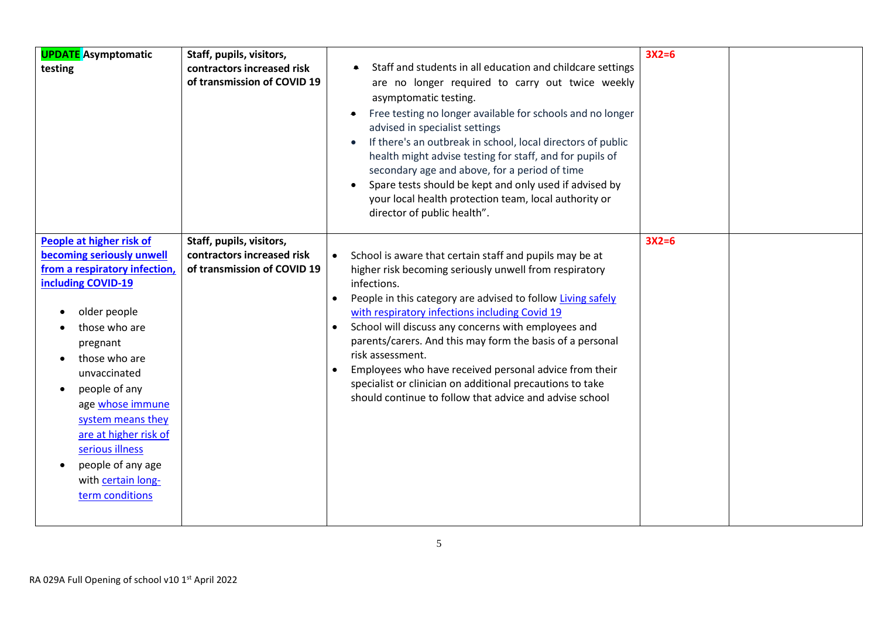| <b>UPDATE</b> Asymptomatic<br>testing                                                                                                                                                                                                                                                                                                                                                    | Staff, pupils, visitors,<br>contractors increased risk<br>of transmission of COVID 19 | Staff and students in all education and childcare settings<br>are no longer required to carry out twice weekly<br>asymptomatic testing.<br>Free testing no longer available for schools and no longer<br>advised in specialist settings<br>If there's an outbreak in school, local directors of public<br>$\bullet$<br>health might advise testing for staff, and for pupils of<br>secondary age and above, for a period of time<br>Spare tests should be kept and only used if advised by<br>your local health protection team, local authority or<br>director of public health". | $3X2=6$ |  |
|------------------------------------------------------------------------------------------------------------------------------------------------------------------------------------------------------------------------------------------------------------------------------------------------------------------------------------------------------------------------------------------|---------------------------------------------------------------------------------------|------------------------------------------------------------------------------------------------------------------------------------------------------------------------------------------------------------------------------------------------------------------------------------------------------------------------------------------------------------------------------------------------------------------------------------------------------------------------------------------------------------------------------------------------------------------------------------|---------|--|
| People at higher risk of<br>becoming seriously unwell<br>from a respiratory infection,<br>including COVID-19<br>older people<br>those who are<br>pregnant<br>those who are<br>unvaccinated<br>people of any<br>$\bullet$<br>age whose immune<br>system means they<br>are at higher risk of<br>serious illness<br>people of any age<br>$\bullet$<br>with certain long-<br>term conditions | Staff, pupils, visitors,<br>contractors increased risk<br>of transmission of COVID 19 | School is aware that certain staff and pupils may be at<br>higher risk becoming seriously unwell from respiratory<br>infections.<br>People in this category are advised to follow Living safely<br>with respiratory infections including Covid 19<br>School will discuss any concerns with employees and<br>parents/carers. And this may form the basis of a personal<br>risk assessment.<br>Employees who have received personal advice from their<br>specialist or clinician on additional precautions to take<br>should continue to follow that advice and advise school        | $3X2=6$ |  |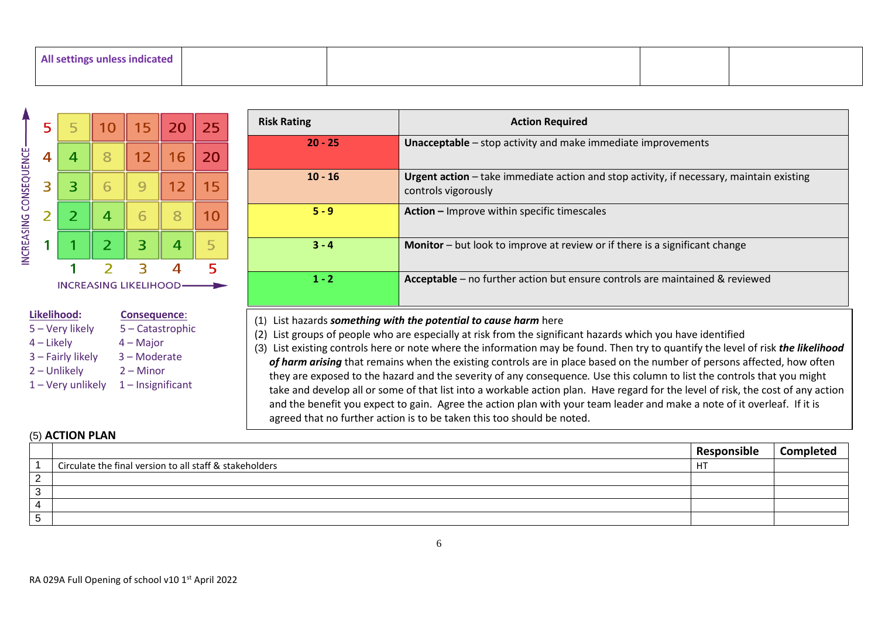| All settings unless indicated |  |  |
|-------------------------------|--|--|
|                               |  |  |





**Likelihood: Consequence**: – Very likely 5 – Catastrophic – Likely 4 – Major – Fairly likely 3 – Moderate – Unlikely 2 – Minor – Very unlikely 1 – Insignificant

| <b>Risk Rating</b> | <b>Action Required</b>                                                                                          |
|--------------------|-----------------------------------------------------------------------------------------------------------------|
| $20 - 25$          | <b>Unacceptable</b> – stop activity and make immediate improvements                                             |
| $10 - 16$          | Urgent action – take immediate action and stop activity, if necessary, maintain existing<br>controls vigorously |
| $5 - 9$            | Action - Improve within specific timescales                                                                     |
| $3 - 4$            | Monitor – but look to improve at review or if there is a significant change                                     |
| $1 - 2$            | Acceptable – no further action but ensure controls are maintained & reviewed                                    |
|                    |                                                                                                                 |

(1) List hazards *something with the potential to cause harm* here

(2) List groups of people who are especially at risk from the significant hazards which you have identified

(3) List existing controls here or note where the information may be found. Then try to quantify the level of risk *the likelihood of harm arising* that remains when the existing controls are in place based on the number of persons affected, how often they are exposed to the hazard and the severity of any consequence*.* Use this column to list the controls that you might take and develop all or some of that list into a workable action plan. Have regard for the level of risk, the cost of any action and the benefit you expect to gain. Agree the action plan with your team leader and make a note of it overleaf. If it is agreed that no further action is to be taken this too should be noted.

## (5) **ACTION PLAN**

|   |                                                         | Responsible | Completed |
|---|---------------------------------------------------------|-------------|-----------|
|   | Circulate the final version to all staff & stakeholders | H.          |           |
| ∼ |                                                         |             |           |
|   |                                                         |             |           |
|   |                                                         |             |           |
| J |                                                         |             |           |